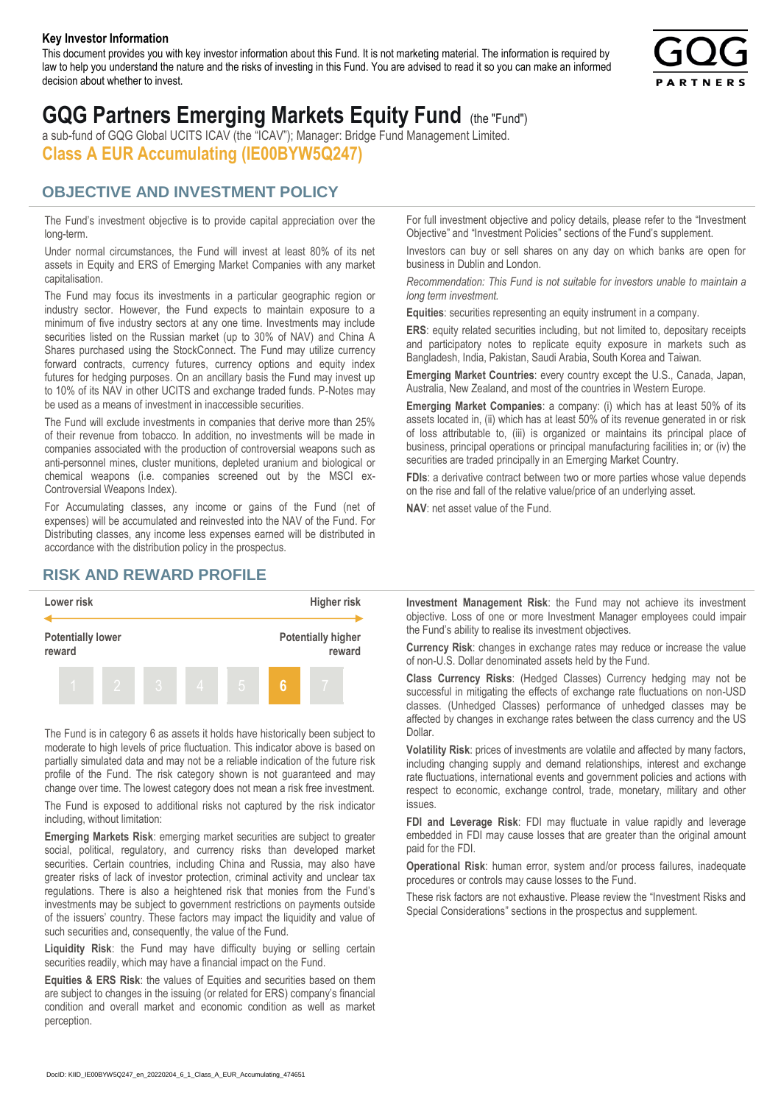#### **Key Investor Information**

This document provides you with key investor information about this Fund. It is not marketing material. The information is required by law to help you understand the nature and the risks of investing in this Fund. You are advised to read it so you can make an informed decision about whether to invest.



# **GQG Partners Emerging Markets Equity Fund** (the "Fund")

a sub-fund of GQG Global UCITS ICAV (the "ICAV"); Manager: Bridge Fund Management Limited. **Class A EUR Accumulating (IE00BYW5Q247)**

### **OBJECTIVE AND INVESTMENT POLICY**

The Fund's investment objective is to provide capital appreciation over the long-term.

Under normal circumstances, the Fund will invest at least 80% of its net assets in Equity and ERS of Emerging Market Companies with any market capitalisation.

The Fund may focus its investments in a particular geographic region or industry sector. However, the Fund expects to maintain exposure to a minimum of five industry sectors at any one time. Investments may include securities listed on the Russian market (up to 30% of NAV) and China A Shares purchased using the StockConnect. The Fund may utilize currency forward contracts, currency futures, currency options and equity index futures for hedging purposes. On an ancillary basis the Fund may invest up to 10% of its NAV in other UCITS and exchange traded funds. P-Notes may be used as a means of investment in inaccessible securities.

The Fund will exclude investments in companies that derive more than 25% of their revenue from tobacco. In addition, no investments will be made in companies associated with the production of controversial weapons such as anti-personnel mines, cluster munitions, depleted uranium and biological or chemical weapons (i.e. companies screened out by the MSCI ex-Controversial Weapons Index).

For Accumulating classes, any income or gains of the Fund (net of expenses) will be accumulated and reinvested into the NAV of the Fund. For Distributing classes, any income less expenses earned will be distributed in accordance with the distribution policy in the prospectus.

## **RISK AND REWARD PROFILE**



The Fund is in category 6 as assets it holds have historically been subject to moderate to high levels of price fluctuation. This indicator above is based on partially simulated data and may not be a reliable indication of the future risk profile of the Fund. The risk category shown is not guaranteed and may change over time. The lowest category does not mean a risk free investment.

The Fund is exposed to additional risks not captured by the risk indicator including, without limitation:

**Emerging Markets Risk**: emerging market securities are subject to greater social, political, regulatory, and currency risks than developed market securities. Certain countries, including China and Russia, may also have greater risks of lack of investor protection, criminal activity and unclear tax regulations. There is also a heightened risk that monies from the Fund's investments may be subject to government restrictions on payments outside of the issuers' country. These factors may impact the liquidity and value of such securities and, consequently, the value of the Fund.

**Liquidity Risk**: the Fund may have difficulty buying or selling certain securities readily, which may have a financial impact on the Fund.

**Equities & ERS Risk**: the values of Equities and securities based on them are subject to changes in the issuing (or related for ERS) company's financial condition and overall market and economic condition as well as market perception.

For full investment objective and policy details, please refer to the "Investment Objective" and "Investment Policies" sections of the Fund's supplement.

Investors can buy or sell shares on any day on which banks are open for business in Dublin and London.

*Recommendation: This Fund is not suitable for investors unable to maintain a long term investment.*

**Equities**: securities representing an equity instrument in a company.

**ERS:** equity related securities including, but not limited to, depositary receipts and participatory notes to replicate equity exposure in markets such as Bangladesh, India, Pakistan, Saudi Arabia, South Korea and Taiwan.

**Emerging Market Countries**: every country except the U.S., Canada, Japan, Australia, New Zealand, and most of the countries in Western Europe.

**Emerging Market Companies**: a company: (i) which has at least 50% of its assets located in, (ii) which has at least 50% of its revenue generated in or risk of loss attributable to, (iii) is organized or maintains its principal place of business, principal operations or principal manufacturing facilities in; or (iv) the securities are traded principally in an Emerging Market Country.

**FDIs**: a derivative contract between two or more parties whose value depends on the rise and fall of the relative value/price of an underlying asset.

**NAV**: net asset value of the Fund.

**Investment Management Risk**: the Fund may not achieve its investment objective. Loss of one or more Investment Manager employees could impair the Fund's ability to realise its investment objectives.

**Currency Risk**: changes in exchange rates may reduce or increase the value of non-U.S. Dollar denominated assets held by the Fund.

**Class Currency Risks**: (Hedged Classes) Currency hedging may not be successful in mitigating the effects of exchange rate fluctuations on non-USD classes. (Unhedged Classes) performance of unhedged classes may be affected by changes in exchange rates between the class currency and the US Dollar.

**Volatility Risk**: prices of investments are volatile and affected by many factors, including changing supply and demand relationships, interest and exchange rate fluctuations, international events and government policies and actions with respect to economic, exchange control, trade, monetary, military and other issues.

**FDI and Leverage Risk**: FDI may fluctuate in value rapidly and leverage embedded in FDI may cause losses that are greater than the original amount paid for the FDI.

**Operational Risk**: human error, system and/or process failures, inadequate procedures or controls may cause losses to the Fund.

These risk factors are not exhaustive. Please review the "Investment Risks and Special Considerations" sections in the prospectus and supplement.